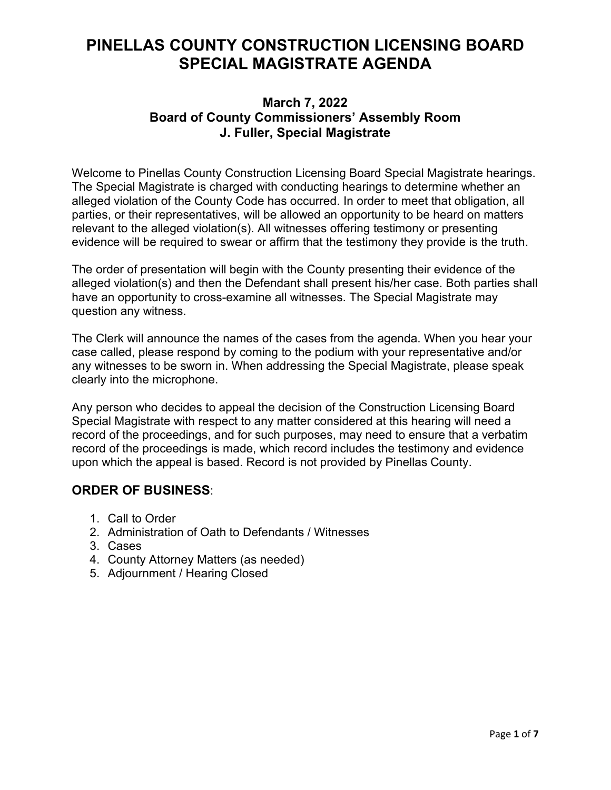# **PINELLAS COUNTY CONSTRUCTION LICENSING BOARD SPECIAL MAGISTRATE AGENDA**

# **March 7, 2022 Board of County Commissioners' Assembly Room J. Fuller, Special Magistrate**

Welcome to Pinellas County Construction Licensing Board Special Magistrate hearings. The Special Magistrate is charged with conducting hearings to determine whether an alleged violation of the County Code has occurred. In order to meet that obligation, all parties, or their representatives, will be allowed an opportunity to be heard on matters relevant to the alleged violation(s). All witnesses offering testimony or presenting evidence will be required to swear or affirm that the testimony they provide is the truth.

The order of presentation will begin with the County presenting their evidence of the alleged violation(s) and then the Defendant shall present his/her case. Both parties shall have an opportunity to cross-examine all witnesses. The Special Magistrate may question any witness.

The Clerk will announce the names of the cases from the agenda. When you hear your case called, please respond by coming to the podium with your representative and/or any witnesses to be sworn in. When addressing the Special Magistrate, please speak clearly into the microphone.

Any person who decides to appeal the decision of the Construction Licensing Board Special Magistrate with respect to any matter considered at this hearing will need a record of the proceedings, and for such purposes, may need to ensure that a verbatim record of the proceedings is made, which record includes the testimony and evidence upon which the appeal is based. Record is not provided by Pinellas County.

# **ORDER OF BUSINESS**:

- 1. Call to Order
- 2. Administration of Oath to Defendants / Witnesses
- 3. Cases
- 4. County Attorney Matters (as needed)
- 5. Adjournment / Hearing Closed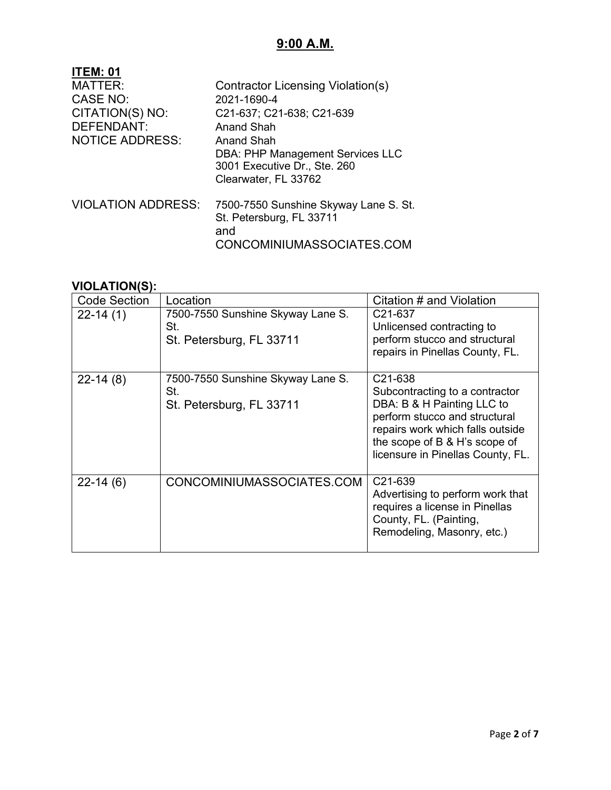# **9:00 A.M.**

| <b>ITEM: 01</b>           |                                         |
|---------------------------|-----------------------------------------|
| MATTER:                   | Contractor Licensing Violation(s)       |
| <b>CASE NO:</b>           | 2021-1690-4                             |
| CITATION(S) NO:           | C21-637; C21-638; C21-639               |
| DEFENDANT:                | Anand Shah                              |
| <b>NOTICE ADDRESS:</b>    | Anand Shah                              |
|                           | <b>DBA: PHP Management Services LLC</b> |
|                           | 3001 Executive Dr., Ste. 260            |
|                           | Clearwater, FL 33762                    |
| <b>VIOLATION ADDRESS:</b> | 7500-7550 Sunshine Skyway Lane S. St.   |
|                           | St. Petersburg, FL 33711                |
|                           |                                         |
|                           |                                         |
|                           | and<br>CONCOMINIUMASSOCIATES.COM        |

| <b>Code Section</b> | Location                                                             | Citation # and Violation                                                                                                                                                                                           |
|---------------------|----------------------------------------------------------------------|--------------------------------------------------------------------------------------------------------------------------------------------------------------------------------------------------------------------|
| $22-14(1)$          | 7500-7550 Sunshine Skyway Lane S.<br>St.<br>St. Petersburg, FL 33711 | C <sub>21</sub> -637<br>Unlicensed contracting to<br>perform stucco and structural<br>repairs in Pinellas County, FL.                                                                                              |
| $22-14(8)$          | 7500-7550 Sunshine Skyway Lane S.<br>St.<br>St. Petersburg, FL 33711 | C21-638<br>Subcontracting to a contractor<br>DBA: B & H Painting LLC to<br>perform stucco and structural<br>repairs work which falls outside<br>the scope of B & H's scope of<br>licensure in Pinellas County, FL. |
| $22 - 14(6)$        | CONCOMINIUMASSOCIATES.COM                                            | C <sub>21</sub> -639<br>Advertising to perform work that<br>requires a license in Pinellas<br>County, FL. (Painting,<br>Remodeling, Masonry, etc.)                                                                 |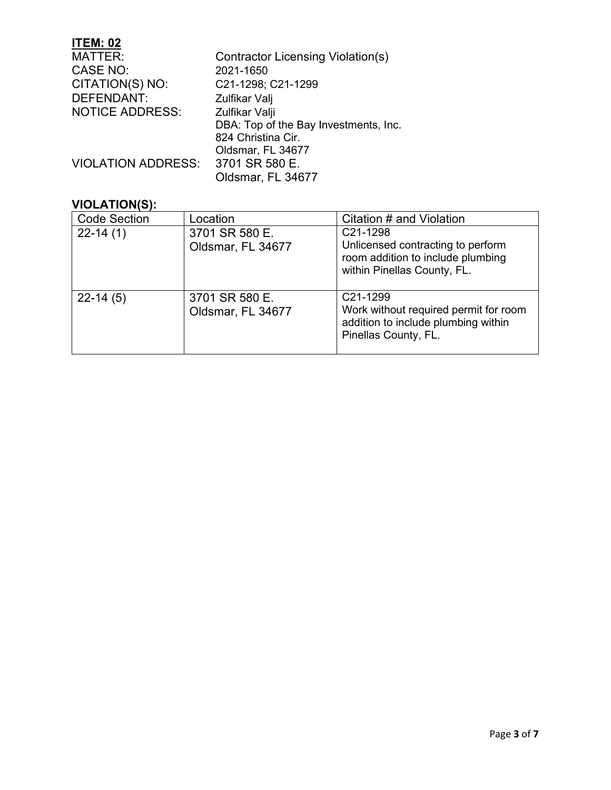# **ITEM: 02**

| <b>MATTER:</b>            | Contractor Licensing Violation(s)     |
|---------------------------|---------------------------------------|
| <b>CASE NO:</b>           | 2021-1650                             |
| CITATION(S) NO:           | C21-1298; C21-1299                    |
| <b>DEFENDANT:</b>         | Zulfikar Valj                         |
| <b>NOTICE ADDRESS:</b>    | Zulfikar Valji                        |
|                           | DBA: Top of the Bay Investments, Inc. |
|                           | 824 Christina Cir.                    |
|                           | Oldsmar, FL 34677                     |
| <b>VIOLATION ADDRESS:</b> | 3701 SR 580 E.                        |
|                           | Oldsmar, FL 34677                     |

| <b>Code Section</b> | Location                            | Citation # and Violation                                                                                                      |
|---------------------|-------------------------------------|-------------------------------------------------------------------------------------------------------------------------------|
| $22-14(1)$          | 3701 SR 580 E.<br>Oldsmar, FL 34677 | C21-1298<br>Unlicensed contracting to perform<br>room addition to include plumbing<br>within Pinellas County, FL.             |
| $22-14(5)$          | 3701 SR 580 E.<br>Oldsmar, FL 34677 | C <sub>21</sub> -1299<br>Work without required permit for room<br>addition to include plumbing within<br>Pinellas County, FL. |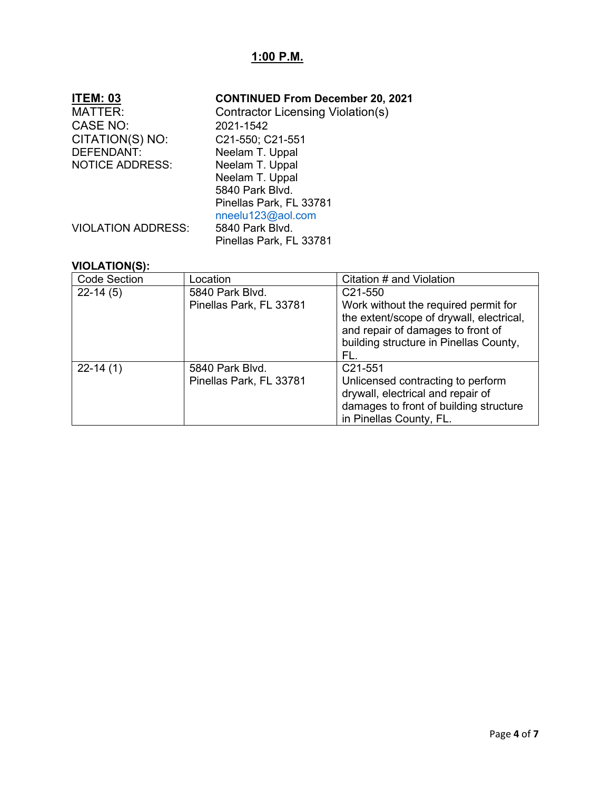# **1:00 P.M.**

| <b>ITEM: 03</b>           | <b>CONTINUED From December 20, 2021</b>  |
|---------------------------|------------------------------------------|
| <b>MATTER:</b>            | <b>Contractor Licensing Violation(s)</b> |
| CASE NO:                  | 2021-1542                                |
| CITATION(S) NO:           | C21-550; C21-551                         |
| <b>DEFENDANT:</b>         | Neelam T. Uppal                          |
| <b>NOTICE ADDRESS:</b>    | Neelam T. Uppal                          |
|                           | Neelam T. Uppal                          |
|                           | 5840 Park Blvd.                          |
|                           | Pinellas Park, FL 33781                  |
|                           | nneelu123@aol.com                        |
| <b>VIOLATION ADDRESS:</b> | 5840 Park Blvd.                          |
|                           | Pinellas Park, FL 33781                  |

| <b>Code Section</b> | Location                                   | Citation # and Violation                                                                                                                                                                       |
|---------------------|--------------------------------------------|------------------------------------------------------------------------------------------------------------------------------------------------------------------------------------------------|
| $22-14(5)$          | 5840 Park Blvd.<br>Pinellas Park, FL 33781 | C <sub>21</sub> -550<br>Work without the required permit for<br>the extent/scope of drywall, electrical,<br>and repair of damages to front of<br>building structure in Pinellas County,<br>FL. |
| $22-14(1)$          | 5840 Park Blvd.<br>Pinellas Park, FL 33781 | C <sub>21</sub> -551<br>Unlicensed contracting to perform<br>drywall, electrical and repair of<br>damages to front of building structure<br>in Pinellas County, FL.                            |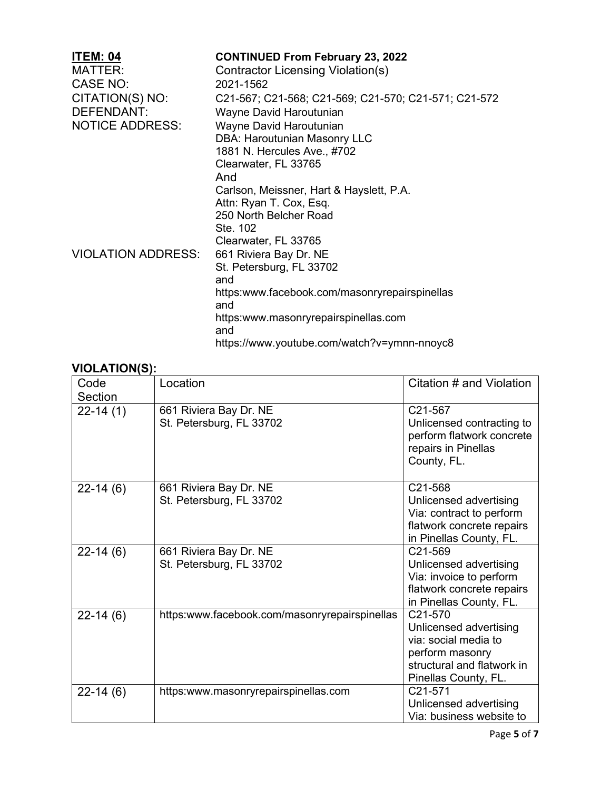| <b>CONTINUED From February 23, 2022</b>              |
|------------------------------------------------------|
| Contractor Licensing Violation(s)                    |
| 2021-1562                                            |
| C21-567; C21-568; C21-569; C21-570; C21-571; C21-572 |
| Wayne David Haroutunian                              |
| Wayne David Haroutunian                              |
| <b>DBA: Haroutunian Masonry LLC</b>                  |
| 1881 N. Hercules Ave., #702                          |
| Clearwater, FL 33765                                 |
| And                                                  |
| Carlson, Meissner, Hart & Hayslett, P.A.             |
| Attn: Ryan T. Cox, Esq.                              |
| 250 North Belcher Road                               |
| Ste. 102                                             |
| Clearwater, FL 33765                                 |
| 661 Riviera Bay Dr. NE                               |
| St. Petersburg, FL 33702                             |
| and                                                  |
| https:www.facebook.com/masonryrepairspinellas        |
| and<br>https:www.masonryrepairspinellas.com          |
|                                                      |
| and                                                  |
|                                                      |

| Code         | Location                                           | Citation # and Violation                                                                                |
|--------------|----------------------------------------------------|---------------------------------------------------------------------------------------------------------|
| Section      |                                                    |                                                                                                         |
| $22-14(1)$   | 661 Riviera Bay Dr. NE<br>St. Petersburg, FL 33702 | C21-567<br>Unlicensed contracting to<br>perform flatwork concrete<br>repairs in Pinellas<br>County, FL. |
| $22 - 14(6)$ | 661 Riviera Bay Dr. NE                             | C21-568                                                                                                 |
|              | St. Petersburg, FL 33702                           | Unlicensed advertising                                                                                  |
|              |                                                    | Via: contract to perform                                                                                |
|              |                                                    | flatwork concrete repairs                                                                               |
|              |                                                    | in Pinellas County, FL.                                                                                 |
| $22-14(6)$   | 661 Riviera Bay Dr. NE                             | C <sub>21</sub> -569                                                                                    |
|              | St. Petersburg, FL 33702                           | Unlicensed advertising                                                                                  |
|              |                                                    | Via: invoice to perform                                                                                 |
|              |                                                    | flatwork concrete repairs                                                                               |
|              |                                                    | in Pinellas County, FL.                                                                                 |
| $22 - 14(6)$ | https:www.facebook.com/masonryrepairspinellas      | C <sub>21</sub> -570                                                                                    |
|              |                                                    | Unlicensed advertising                                                                                  |
|              |                                                    | via: social media to                                                                                    |
|              |                                                    | perform masonry                                                                                         |
|              |                                                    | structural and flatwork in                                                                              |
|              |                                                    | Pinellas County, FL.                                                                                    |
| $22-14(6)$   | https:www.masonryrepairspinellas.com               | C21-571                                                                                                 |
|              |                                                    | Unlicensed advertising                                                                                  |
|              |                                                    | Via: business website to                                                                                |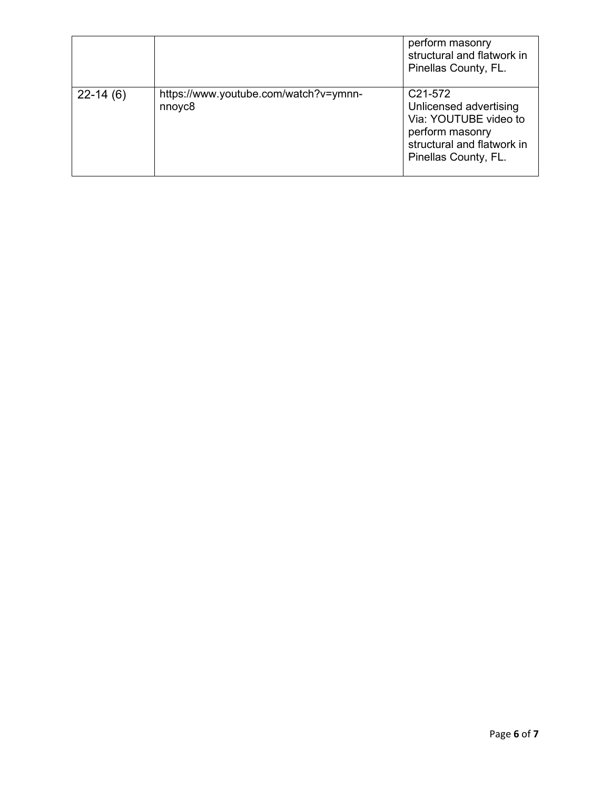|            |                                                             | perform masonry<br>structural and flatwork in<br>Pinellas County, FL.                                                                                        |
|------------|-------------------------------------------------------------|--------------------------------------------------------------------------------------------------------------------------------------------------------------|
| $22-14(6)$ | https://www.youtube.com/watch?v=ymnn-<br>nnoyc <sub>8</sub> | C <sub>21</sub> -57 <sub>2</sub><br>Unlicensed advertising<br>Via: YOUTUBE video to<br>perform masonry<br>structural and flatwork in<br>Pinellas County, FL. |